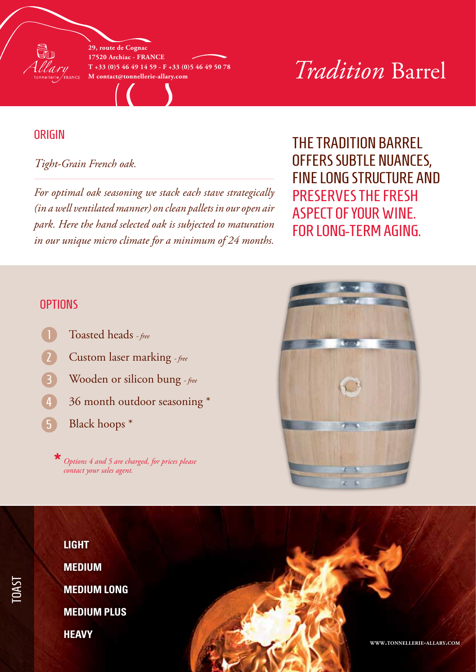

**29, route de Cognac 17520 Archiac - France T +33 (0)5 46 49 14 59 - F +33 (0)5 46 49 50 78**

# $T_{+33}$  (0)5 46 49 14 59 - F +33 (0)5 46 49 50 78<br> **M** contact@tonnellerie-allary.com<br> **M** contact@tonnellerie-allary.com

#### **ORIGIN**

#### *Tight-Grain French oak.*

*For optimal oak seasoning we stack each stave strategically (in a well ventilated manner) on clean pallets in our open air park. Here the hand selected oak is subjected to maturation in our unique micro climate for a minimum of 24 months.*

### The Tradition barrel offers subtle nuances, fine long structure and preserves the fresh aspect of your wine. For long-term aging.

#### **OPTIONS**

- Toasted heads  *free*
- Custom laser marking  *free* 2
- Wooden or silicon bung  *free* 3
- 36 month outdoor seasoning \* 4
- Black hoops \* 5

*Options 4 and 5 are charged, for prices please contact your sales agent.* **\***